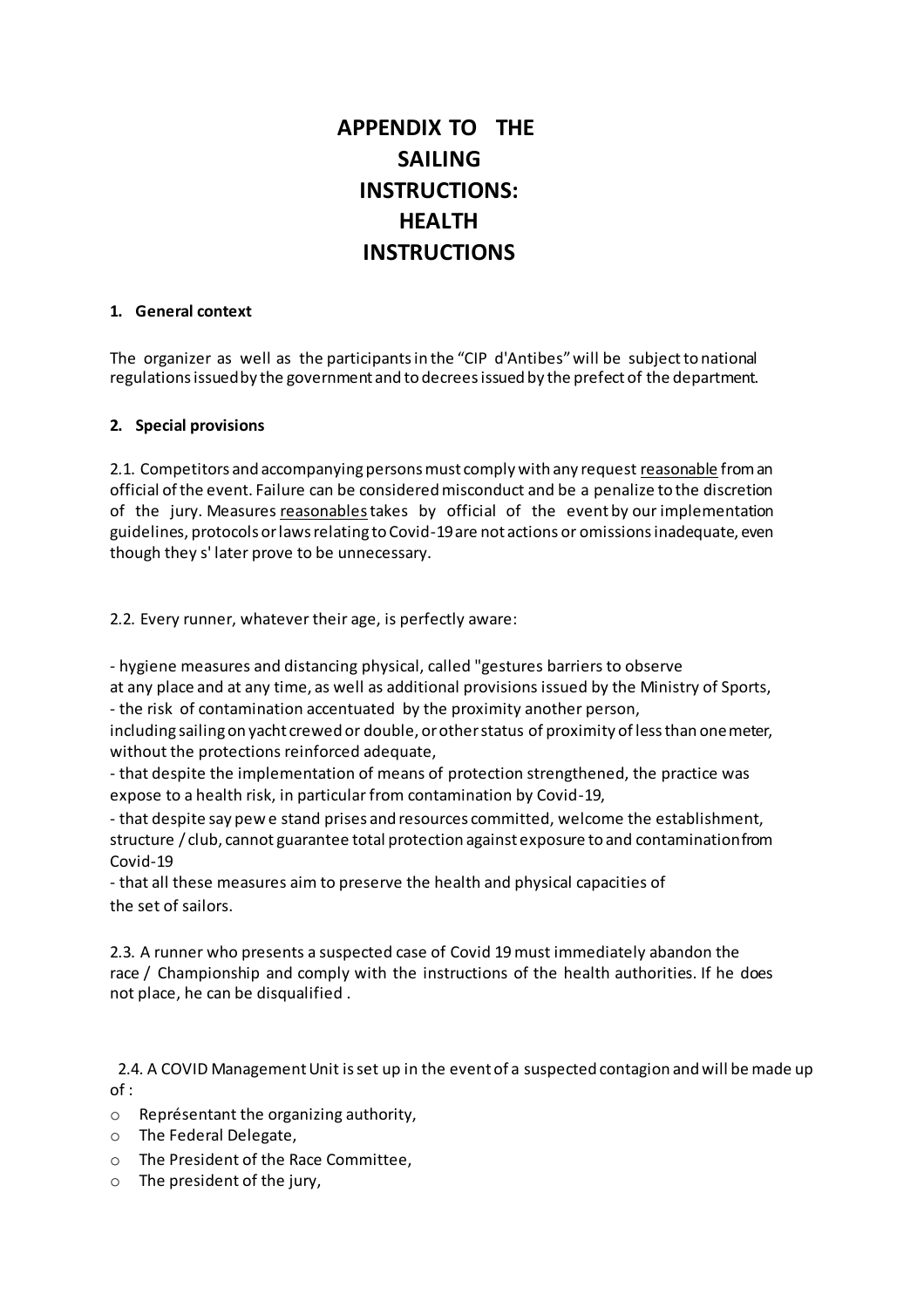## **APPENDIX TO THE SAILING INSTRUCTIONS: HEALTH INSTRUCTIONS**

## **1. General context**

The organizer as well as the participants in the "CIP d'Antibes" will be subject to national regulations issued by the government and to decrees issued by the prefect of the department.

## **2. Special provisions**

2.1. Competitors and accompanying persons must comply with any request reasonable from an official of the event. Failure can be considered misconduct and be a penalize to the discretion of the jury. Measures reasonables takes by official of the event by our implementation guidelines, protocols or laws relating to Covid-19 are not actions or omissions inadequate, even though they s' later prove to be unnecessary.

2.2. Every runner, whatever their age, is perfectly aware:

- hygiene measures and distancing physical, called "gestures barriers to observe at any place and at any time, as well as additional provisions issued by the Ministry of Sports, - the risk of contamination accentuated by the proximity another person,

including sailing on yacht crewed or double, or other status of proximity of less than one meter, without the protections reinforced adequate,

- that despite the implementation of means of protection strengthened, the practice was expose to a health risk, in particular from contamination by Covid-19,

- that despite say pew e stand prises and resources committed, welcome the establishment, structure / club, cannot guarantee total protection against exposure to and contamination from Covid-19

- that all these measures aim to preserve the health and physical capacities of the set of sailors.

2.3. A runner who presents a suspected case of Covid 19 must immediately abandon the race / Championship and comply with the instructions of the health authorities. If he does not place, he can be disqualified .

 2.4. A COVID Management Unit is set up in the event of a suspected contagion and will be made up of :

- o Représentant the organizing authority,
- o The Federal Delegate,
- o The President of the Race Committee,
- o The president of the jury,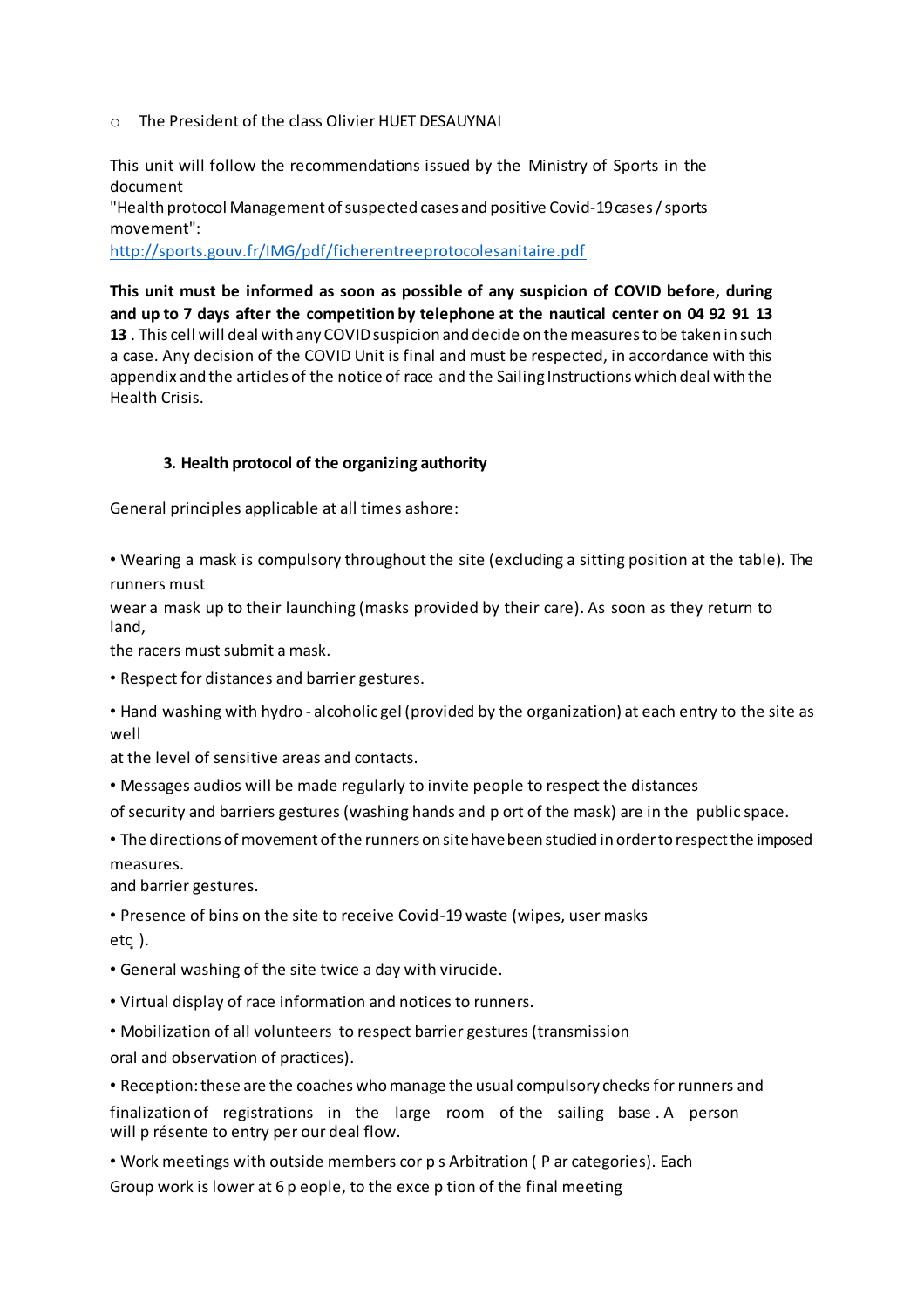o The President of the class Olivier HUET DESAUYNAI

This unit will follow the recommendations issued by the Ministry of Sports in the document

"Health protocol Management of suspected cases and positive Covid-19 cases / sports movement":

http://sports.gouv.fr/IMG/pdf/ficherentreeprotocolesanitaire.pdf

**This unit must be informed as soon as possible of any suspicion of COVID before, during and up to 7 days after the competition by telephone at the nautical center on 04 92 91 13 13** . This cell will deal with any COVID suspicion and decide on the measures to be taken in such a case. Any decision of the COVID Unit is final and must be respected, in accordance with this appendix and the articles of the notice of race and the Sailing Instructions which deal with the Health Crisis.

## **3. Health protocol of the organizing authority**

General principles applicable at all times ashore:

• Wearing a mask is compulsory throughout the site (excluding a sitting position at the table). The runners must

wear a mask up to their launching (masks provided by their care). As soon as they return to land,

the racers must submit a mask.

• Respect for distances and barrier gestures.

• Hand washing with hydro - alcoholic gel (provided by the organization) at each entry to the site as well

at the level of sensitive areas and contacts.

• Messages audios will be made regularly to invite people to respect the distances

of security and barriers gestures (washing hands and p ort of the mask) are in the public space.

• The directions of movement of the runners on site have been studied in order to respect the imposed measures.

and barrier gestures.

• Presence of bins on the site to receive Covid-19 waste (wipes, user masks  $etc.$ ).

• General washing of the site twice a day with virucide.

• Virtual display of race information and notices to runners.

• Mobilization of all volunteers to respect barrier gestures (transmission oral and observation of practices).

• Reception: these are the coaches who manage the usual compulsory checks for runners and finalization of registrations in the large room of the sailing base . A person

will p résente to entry per our deal flow.

• Work meetings with outside members cor p s Arbitration ( P ar categories). Each Group work is lower at 6 p eople, to the exce p tion of the final meeting